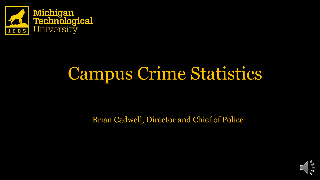

## Campus Crime Statistics

Brian Cadwell, Director and Chief of Police

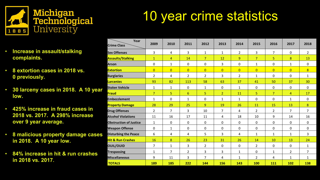

## 10 year crime statistics

- **Increase in assault/stalking complaints.**
- **8 extortion cases in 2018 vs. 0 previously.**
- **30 larceny cases in 2018. A 10 year low.**
- **425% increase in fraud cases in 2018 vs. 2017. A 298% increase over 9 year average.**
- **8 malicious property damage cases in 2018. A 10 year low.**
- **84% increase in hit & run crashes in 2018 vs. 2017.**

| Year<br><b>Crime Class</b>    | 2009           | 2010           | 2011           | 2012           | 2013           | 2014           | 2015           | 2016           | 2017           | 2018           |
|-------------------------------|----------------|----------------|----------------|----------------|----------------|----------------|----------------|----------------|----------------|----------------|
| <b>Sex Offenses</b>           | 3              | 4              | 3              | $\mathbf{1}$   | $\mathbf{1}$   | $\overline{2}$ | 3              | $\overline{7}$ | 0              | $\overline{2}$ |
| <b>Assaults/Stalking</b>      | $\mathbf{1}$   | 4              | 14             | $\overline{7}$ | 12             | 9              | $\overline{7}$ | 5              | 8              | 13             |
| <b>Arson</b>                  | 0              | $\mathbf{1}$   | 0              | $\mathbf 0$    | 3              | 0              | $\mathbf{1}$   | 0              | 1              | 0              |
| <b>Extortion</b>              | $\overline{0}$ | $\overline{0}$ | $\overline{0}$ | $\overline{0}$ | $\overline{0}$ | $\overline{0}$ | $\overline{0}$ | $\overline{0}$ | $\overline{0}$ | $\overline{8}$ |
| <b>Burglaries</b>             | $\overline{2}$ | 4              | $\overline{2}$ | $\overline{2}$ | 3              | $\overline{2}$ | 1              | 0              | 0              | $\mathbf{1}$   |
| <b>Larcenies</b>              | 93             | 82             | 113            | 58             | 63             | 37             | 41             | 50             | 37             | 30             |
| <b>Stolen Vehicle</b>         | $\mathbf{1}$   | 1              | 0              | $\mathbf{1}$   | 0              | $\mathbf{1}$   | $\mathbf{0}$   | $\Omega$       | 0              | $\mathbf 0$    |
| <b>Fraud</b>                  | $\overline{7}$ | 5              | 6              | 5              | $\overline{2}$ | 11             | 5              | $\overline{7}$ | 4              | 17             |
| <b>Embezzlement</b>           | 1              | 0              | 1              | 0              | $\mathbf{1}$   | $\mathbf 1$    | 0              | 0              | $\mathbf{1}$   | 0              |
| <b>Property Damage</b>        | 28             | 29             | 25             | 9              | 19             | 26             | 11             | 15             | 13             | 8              |
| <b>Drug Offenses</b>          | $\overline{2}$ | $\overline{7}$ | 3              | 10             | $\overline{7}$ | 4              | $\overline{2}$ | $\overline{2}$ | 7              | $\overline{7}$ |
| <b>Alcohol Violations</b>     | 11             | 16             | 17             | 11             | 4              | 18             | 10             | 9              | 14             | 16             |
| <b>Obstruction of Justice</b> | 1              | $\mathbf 0$    | 0              | $\mathbf 0$    | 0              | 0              | 0              | 0              | 0              | 0              |
| <b>Weapon Offense</b>         | 0              | $\mathbf{1}$   | 0              | 0              | 0              | $\mathbf 0$    | 0              | 0              | 0              | 0              |
| <b>Disturbing the Peace</b>   | 6              | 4              | 4              | 5              | 3              | 4              | $\mathbf{1}$   | $\mathbf{1}$   | $\mathbf{1}$   | 3              |
| <b>Hit &amp; Run Crashes</b>  | 16             | 8              | 26             | 23             | 31             | 26             | 14             | 10             | 13             | 24             |
| <b>OUIL/OUID</b>              | 7              | $\mathbf{1}$   | 3              | $\overline{2}$ | 0              | 0              | $\overline{2}$ | 0              | 0              | 1              |
| <b>Trespassing</b>            | $\mathbf{1}$   | $\overline{7}$ | $\overline{2}$ | 3              | 3              | $\mathbf{1}$   | $\mathbf 0$    | $\mathbf{1}$   | $\overline{2}$ | $\overline{7}$ |
| <b>Miscellaneous</b>          | 9              | 11             | 3              | $\overline{7}$ | 4              | $\mathbf{1}$   | $\overline{2}$ | 4              | $\mathbf{1}$   | 1              |
| <b>TOTALS</b>                 | 189            | 185            | 222            | 144            | 156            | 143            | 100            | 111            | 102            | 138            |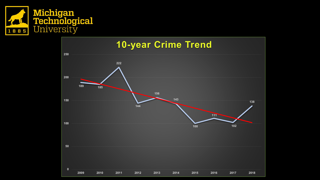